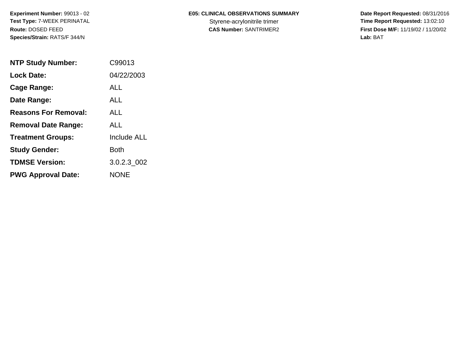## **E05: CLINICAL OBSERVATIONS SUMMARY**

 **Date Report Requested:** 08/31/2016 Styrene-acrylonitrile trimer<br>
CAS Number: SANTRIMER2<br> **CAS Number:** SANTRIMER2<br> **Time Report Requested:** 13:02:10 **First Dose M/F:** 11/19/02 / 11/20/02<br>Lab: BAT **Lab:** BAT

| <b>NTP Study Number:</b>    | C99013             |
|-----------------------------|--------------------|
| <b>Lock Date:</b>           | 04/22/2003         |
| Cage Range:                 | ALL                |
| Date Range:                 | AI I               |
| <b>Reasons For Removal:</b> | ALL                |
| <b>Removal Date Range:</b>  | ALL                |
| <b>Treatment Groups:</b>    | <b>Include ALL</b> |
| <b>Study Gender:</b>        | <b>Both</b>        |
| <b>TDMSE Version:</b>       | 3.0.2.3_002        |
| <b>PWG Approval Date:</b>   | NONE               |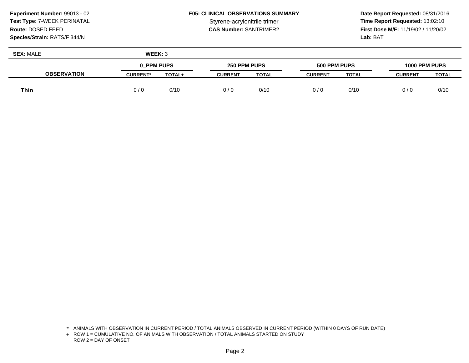## **E05: CLINICAL OBSERVATIONS SUMMARY**

 **Date Report Requested:** 08/31/2016 Styrene-acrylonitrile trimer<br> **CAS Number:** SANTRIMER2<br> **CAS Number:** SANTRIMER2<br> **Time Report Requested:** 13:02:10 **First Dose M/F:** 11/19/02 / 11/20/02 Lab: BAT **Lab:** BAT

| <b>SEX: MALE</b>   | WEEK: 3         |        |                |              |                |              |                |       |
|--------------------|-----------------|--------|----------------|--------------|----------------|--------------|----------------|-------|
|                    | 0 PPM PUPS      |        | 250 PPM PUPS   |              | 500 PPM PUPS   |              | 1000 PPM PUPS  |       |
| <b>OBSERVATION</b> | <b>CURRENT*</b> | TOTAL+ | <b>CURRENT</b> | <b>TOTAL</b> | <b>CURRENT</b> | <b>TOTAL</b> | <b>CURRENT</b> | TOTAL |
| <b>Thin</b>        | 0/0             | 0/10   | 0/0            | 0/10         | 0/0            | 0/10         | 0/0            | 0/10  |

<sup>\*</sup> ANIMALS WITH OBSERVATION IN CURRENT PERIOD / TOTAL ANIMALS OBSERVED IN CURRENT PERIOD (WITHIN 0 DAYS OF RUN DATE)

<sup>+</sup> ROW 1 = CUMULATIVE NO. OF ANIMALS WITH OBSERVATION / TOTAL ANIMALS STARTED ON STUDY ROW 2 = DAY OF ONSET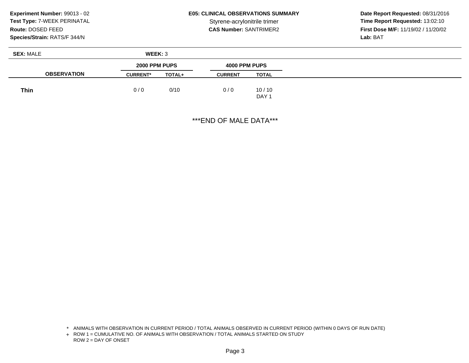## **E05: CLINICAL OBSERVATIONS SUMMARY**

 **Date Report Requested:** 08/31/2016 **Time Report Requested: 13:02:10 CAS Number:** SANTRIMER2 **First Dose M/F:** 11/19/02 / 11/20/02 **Lab:** BAT

| <b>SEX: MALE</b>   | WEEK: 3         |        |                |                  |
|--------------------|-----------------|--------|----------------|------------------|
|                    | 2000 PPM PUPS   |        | 4000 PPM PUPS  |                  |
| <b>OBSERVATION</b> | <b>CURRENT*</b> | TOTAL+ | <b>CURRENT</b> | <b>TOTAL</b>     |
| <b>Thin</b>        | 0/0             | 0/10   | 0/0            | 10/10            |
|                    |                 |        |                | DAY <sub>1</sub> |

\*\*\*END OF MALE DATA\*\*\*

<sup>\*</sup> ANIMALS WITH OBSERVATION IN CURRENT PERIOD / TOTAL ANIMALS OBSERVED IN CURRENT PERIOD (WITHIN 0 DAYS OF RUN DATE)

<sup>+</sup> ROW 1 = CUMULATIVE NO. OF ANIMALS WITH OBSERVATION / TOTAL ANIMALS STARTED ON STUDY ROW 2 = DAY OF ONSET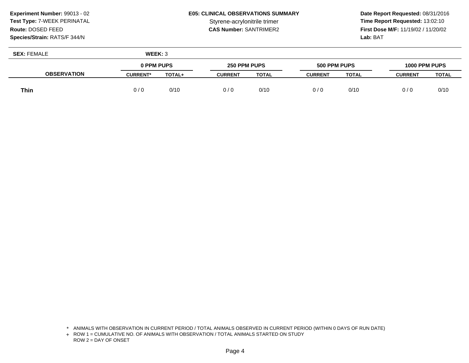## **E05: CLINICAL OBSERVATIONS SUMMARY**

 **Date Report Requested:** 08/31/2016 Styrene-acrylonitrile trimer<br> **CAS Number:** SANTRIMER2<br> **CAS Number:** SANTRIMER2<br> **Time Report Requested:** 13:02:10 **First Dose M/F:** 11/19/02 / 11/20/02 Lab: BAT **Lab:** BAT

| <b>SEX: FEMALE</b> | WEEK: 3         |        |                |              |                |              |                |       |
|--------------------|-----------------|--------|----------------|--------------|----------------|--------------|----------------|-------|
|                    | 0 PPM PUPS      |        | 250 PPM PUPS   |              | 500 PPM PUPS   |              | 1000 PPM PUPS  |       |
| <b>OBSERVATION</b> | <b>CURRENT*</b> | TOTAL+ | <b>CURRENT</b> | <b>TOTAL</b> | <b>CURRENT</b> | <b>TOTAL</b> | <b>CURRENT</b> | TOTAL |
| <b>Thin</b>        | 0/0             | 0/10   | 0/0            | 0/10         | 0/0            | 0/10         | 0/0            | 0/10  |

<sup>\*</sup> ANIMALS WITH OBSERVATION IN CURRENT PERIOD / TOTAL ANIMALS OBSERVED IN CURRENT PERIOD (WITHIN 0 DAYS OF RUN DATE)

<sup>+</sup> ROW 1 = CUMULATIVE NO. OF ANIMALS WITH OBSERVATION / TOTAL ANIMALS STARTED ON STUDY ROW 2 = DAY OF ONSET